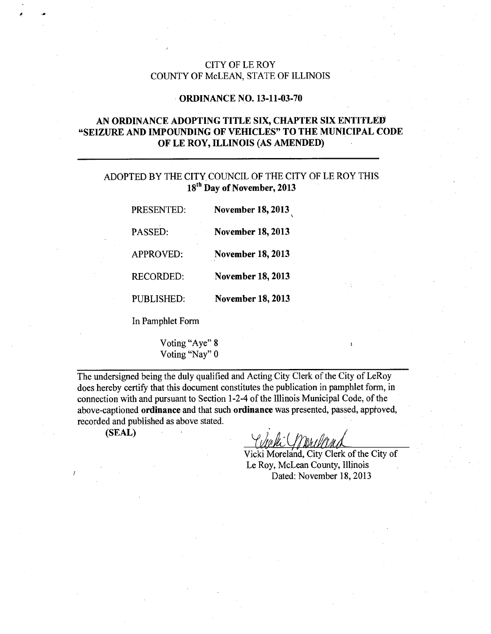### CITY OF LE ROY COUNTY OF McLEAN, STATE OF ILLINOIS

#### ORDINANCE NO. 13-11-03-70

## AN ORDINANCE ADOPTING TITLE SIX, CHAPTER SIX ENTITLED "SEIZURE AND IMPOUNDING OF VEHICLES" TO THE MUNICIPAL CODE OF LE ROY, ILLINOIS (AS AMENDED)

### ADOPTED BY THE CITY COUNCIL OF THE CITY OF LE ROY THIS 18<sup>th</sup> Day of November, 2013

| PRESENTED:        | <b>November 18, 2013</b> |
|-------------------|--------------------------|
| PASSED:           | <b>November 18, 2013</b> |
| <b>APPROVED:</b>  | <b>November 18, 2013</b> |
| <b>RECORDED:</b>  | <b>November 18, 2013</b> |
| <b>PUBLISHED:</b> | <b>November 18, 2013</b> |
|                   |                          |

In Pamphlet Form

Voting "Aye" 8 Voting "Nay" 0

The undersigned being the duly qualified and Acting City Clerk of the City of LeRoy does hereby certify that this document constitutes the publication in pamphlet form, in connection with and pursuant to Section 1-2-4 of the Illinois Municipal Code, of the above-captioned ordinance and that such ordinance was presented, passed, apptoved, recorded and published as above stated.

(SEAL)

t«

Vicki Moreland, City Clerk of the City of Le Roy, McLean County, Illinois Dated: November 18, 2013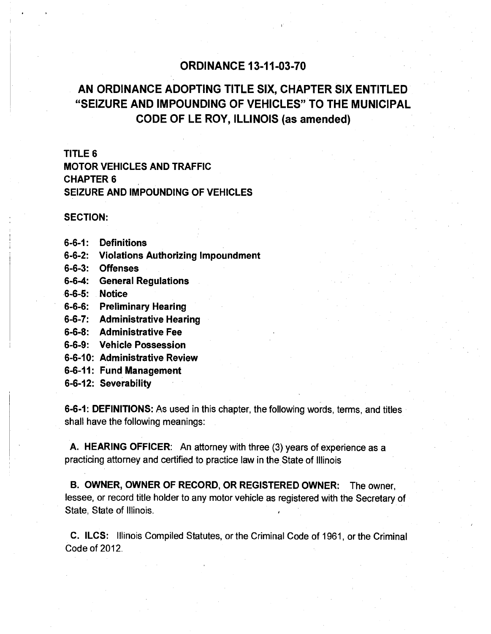# ORDINANCE 13-11-03-70

# AN ORDINANCE ADOPTING TITLE SIX, CHAPTER SIX ENTITLED "SEIZURE AND IMPOUNDING OF VEHICLES" TO THE MUNICIPAL CODE OF LE ROY, ILLINOIS (as amended)

### TITLE 6

MOTOR VEHICLES AND TRAFFIC CHAPTER 6 SEIZURE AND IMPOUNDING OF VEHICLES

### SECTION:

- 6-6-1: Definitions
- 6-6-2: Violations Authorizing Impoundment
- 6-6-3: Offenses
- 6-6-4: General Regulations
- 6-6-5: Notice
- 6-6-6: Preliminary Hearing
- 6-6-7: Administrative Hearing
- 6-6-8: Administrative Fee
- 6-6-9: Vehicle Possession
- 6-6-10: Administrative Review
- 6-6-11: Fund Management
- 6-6-12: Severability

6-6-1: DEFINITIONS: As used in this chapter, the following words, terms, and titles shall have the following meanings:

A. HEARING OFFICER: An attorney with three (3) years of experience as a practicing attorney and certified to practice law in the State of Illinois

B. OWNER, OWNER OF RECORD, OR REGISTERED OWNER: The owner, lessee, or record title holder to any motor vehicle as registered with the Secretary of State, State of Illinois.

C. ILCS: Illinois Compiled Statutes, or the Criminal Code of 1961, or the Criminal Code of 2012.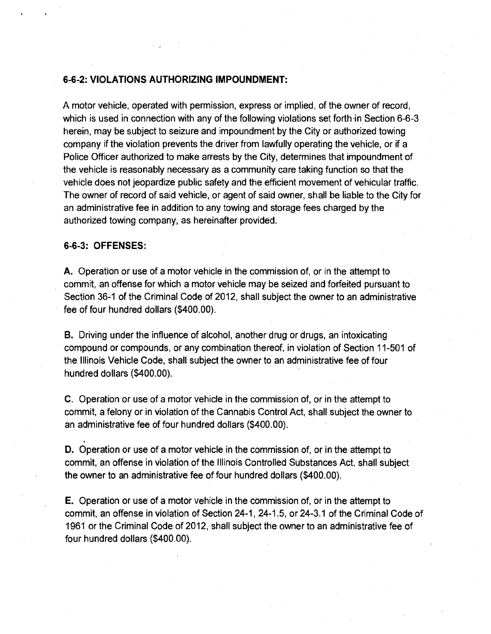### 6-6-2: VIOLATIONS AUTHORIZING IMPOUNDMENT:

A motor vehicle, operated with permission, express or implied, of the owner of record, which is used in connection with any of the following violations set forth in Section 6-6-3 herein, may be subject to seizure and impoundment by the City or authorized towing company if the violation prevents the driver from lawfully operating the vehicle, or if a Police Officer authorized to make arrests by the City, determines that impoundment of the vehicle is reasonably necessary as a community care taking function so that the vehicle does not jeopardize public safety and the efficient movement of vehicular traffic. The owner of record of said vehicle, or agent of said owner, shall be liable to the City for an administrative fee in addition to any towing and storage fees charged by the authorized towing company, as hereinafter provided.

#### 6-6-3: OFFENSES:

A. Operation or use of a motor vehicle in the commission of, or in the attempt to commit, an offense for which a motor vehicle may be seized and forfeited pursuant to Section 36-1 of the Criminal Code of 2012, shall subject the owner to an administrative fee of four hundred dollars (\$400.00).

B. Driving under the influence of alcohol, another drug or drugs, an intoxicating compound or compounds, or any combination thereof, in violation of Section 11-501 of the Illinois Vehicle Code, shall subject the owner to an administrative fee of four hundred dollars (\$400.00).

C. Operation or use of a motor vehicle in the commission of, or in the attempt to commit, a felony or in violation of the Cannabis Control Act, shall subject the owner to an administrative fee of four hundred dollars (\$400.00).

D. Operation or use of a motor vehicle in the commission of, or in the attempt to commit, an offense in violation of the Illinois Controlled Substances Act, shall subject the owner to an administrative fee of four hundred dollars (\$400.00).

E. Operation or use of a motor vehicle in the commission of, or in the attempt to commit, an offense in violation of Section 24-1, 24-1.5, or 24-3.1 of the Criminal Code of 1961 or the Criminal Code of 2012, shall subject the owner to an administrative fee of four hundred dollars (\$400.00).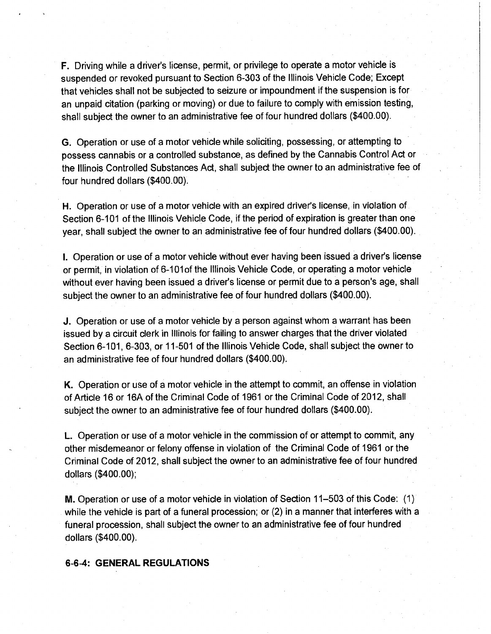F. Driving while a driver's license, permit, or privilege to operate a motor vehicle is suspended or revoked pursuant to Section 6-303 of the Illinois Vehicle Code; Except that vehicles shall not be subjected to seizure or impoundment if the suspension is for an unpaid citation (parking or moving) or due to failure to comply with emission testing, shall subject the owner to an administrative fee of four hundred dollars (\$400.00).

G. Operation or use of a motor vehicle while soliciting, possessing, or attempting to possess cannabis or a controlled substance, as defined by the Cannabis Control Act or the Illinois Controlled Substances Act, shall subject the owner to an administrative fee of four hundred dollars (\$400.00).

H. Operation or use of a motor vehicle with an expired driver's license, in violation of Section 6-101 of the Illinois Vehicle Code, if the period of expiration is greater than one year, shall subject the owner to an administrative fee of four hundred dollars (\$400.00).

I. Operation or use of a motor vehicle without ever having been issued a driver's license or permit, in violation of 6-101 of the Illinois Vehicle Code, or operating a motor vehicle without ever having been issued a driver's license or permit due to a person's age, shall subject the owner to an administrative fee of four hundred dollars (\$400.00).

J. Operation or use of a motor vehicle by a person against whom a warrant has been issued by a circuit clerk in Illinois for failing to answer charges that the driver violated Section 6-101, 6-303, or 11-501 of the Illinois Vehicle Code, shall subject the owner to an administrative fee of four hundred dollars (\$400.00).

K. Operation or use of a motor vehicle in the attempt to commit, an offense in violation of Article 16 or 16A of the Criminal Code of 1961 or the Criminal Code of 2012, shall subject the owner to an administrative fee of four hundred dollars (\$400.00).

L. Operation or use of a motor vehicle in the commission of or attempt to commit, any other misdemeanor or felony offense in violation of the Criminal Code of 1961 or the Criminal Code of 2012, shall subject the owner to an administrative fee of four hundred dollars (\$400.00);

M. Operation or use of a motor vehicle in violation of Section 11-503 of this Code: (1) while the vehicle is part of a funeral procession; or (2) in a manner that interferes with a funeral procession, shall subject the owner to an administrative fee of four hundred dollars (\$400.00).

#### 6-6-4: GENERAL REGULATIONS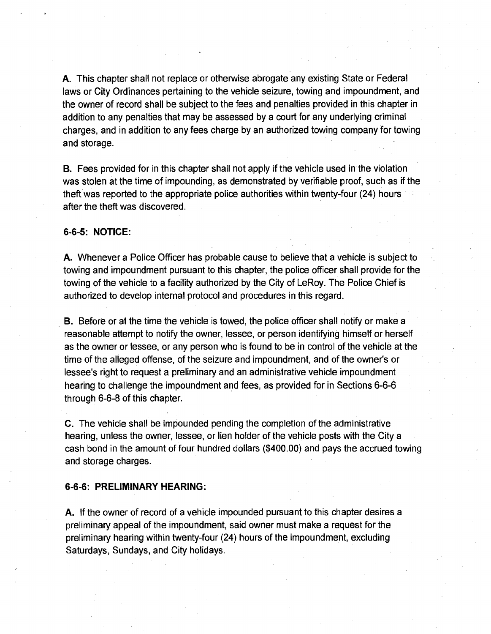A. This chapter shall not replace or otherwise abrogate any existing State or Federal laws or City Ordinances pertaining to the vehicle seizure, towing and impoundment, and the owner of record shall be subject to the fees and penalties provided in this chapter in addition to any penalties that may be assessed by a court for any underlying criminal charges, and in addition to any fees charge by an authorized towing company for towing and storage.

B. Fees provided for in this chapter shall not apply if the vehicle used in the violation was stolen at the time of impounding, as demonstrated by verifiable proof, such as if the theft was reported to the appropriate police authorities within twenty-four (24) hours after the theft was discovered

#### 6-6-5: NOTICE:

A. Whenever a Police Officer has probable cause to believe that a vehicle is subject to towing and impoundment pursuant to this chapter, the police officer shall provide for the towing of the vehicle to a facility authorized by the City of LeRoy. The Police Chief is authorized to develop internal protocol and procedures in this regard.

B. Before or at the time the vehicle is towed, the police officer shall notify or make a reasonable attempt to notify the owner, lessee, or person identifying himself or herself as the owner or lessee, or any person who is found to be in control of the vehicle at the time of the alleged offense, of the seizure and impoundment, and of the owner's or lessee's right to request a preliminary and an administrative vehicle impoundment hearing to challenge the impoundment and fees, as provided for in Sections 6-6-6 through 6-6-8 of this chapter.

C. The vehicle shall be impounded pending the completion of the administrative hearing, unless the owner, lessee, or lien holder of the vehicle posts with the City a cash bond in the amount of four hundred dollars (\$400.00) and pays the accrued towing and storage charges.

#### 6-6-6: PRELIMINARY HEARING:

A. If the owner of record of a vehicle impounded pursuant to this chapter desires a preliminary appeal of the impoundment, said owner must make a request for the preliminary hearing within twenty-four (24) hours of the impoundment, excluding Saturdays, Sundays, and City holidays.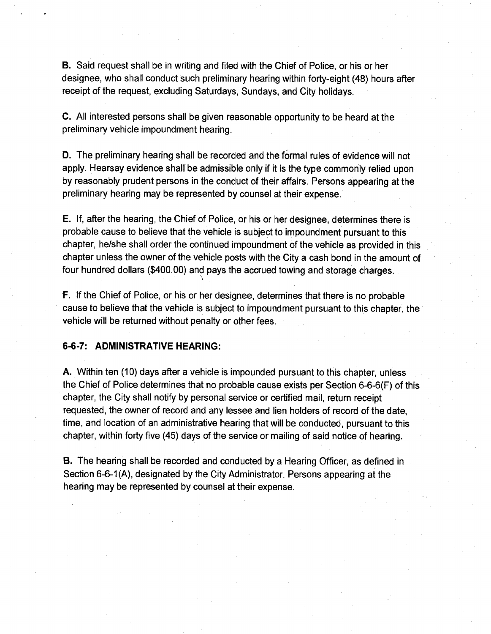B. Said request shall be in writing and filed with the Chief of Police, or his or her designee, who shall conduct such preliminary hearing within forty-eight (48) hours after receipt of the request, excluding Saturdays, Sundays, and City holidays.

C. All interested persons shall be given reasonable opportunity to be heard at the preliminary vehicle impoundment hearing.

D. The preliminary hearing shall be recorded and the formal rules of evidence will not apply. Hearsay evidence shall be admissible only if it is the type commonly relied upon by reasonably prudent persons in the conduct of their affairs. Persons appearing at the preliminary hearing may be represented by counsel at their expense.

E. If, after the hearing, the Chief of Police, or his or her designee, determines there is probable cause to believe that the vehicle is subject to impoundment pursuant to this chapter, he/she shall order the continued impoundment of the vehicle as provided in this chapter unless the owner of the vehicle posts with the City a cash bond in the amount of four hundred dollars (\$400.00) and pays the accrued towing and storage charges.

F. If the Chief of Police, or his or her designee, determines that there is no probable cause to believe that the vehicle is subject to impoundment pursuant to this chapter, the vehicle will be returned without penalty or other fees.

#### 6-6-7: ADMINISTRATIVE HEARING:

A. Within ten (10) days after a vehicle is impounded pursuant to this chapter, unless the Chief of Police determines that no probable cause exists per Section 6-6-6(F) of this chapter, the City shall notify by personal service or certified mail, return receipt requested, the owner of record and any lessee and lien holders of record of the date, time, and location of an administrative hearing that will be conducted, pursuant to this chapter, within forty five (45) days of the service or mailing of said notice of hearing.

B. The hearing shall be recorded and conducted by a Hearing Officer, as defined in Section 6-6-1(A), designated by the City Administrator. Persons appearing at the hearing may be represented by counsel at their expense.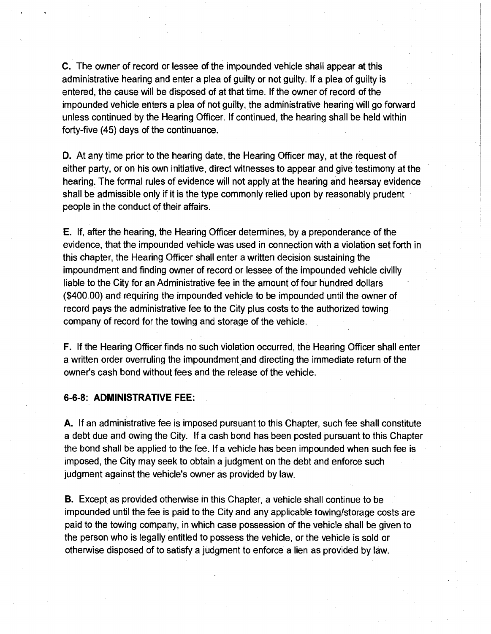C. The owner of record or lessee of the impounded vehicle shall appear at this administrative hearing and enter a plea of guilty or not guilty. If a plea of guilty is entered, the cause will be disposed of at that time. If the owner of record of the impounded vehicle enters a plea of not guilty, the administrative hearing will go forward unless continued by the Hearing Officer. If continued, the hearing shall be held within forty-five (45) days of the continuance.

D. At any time prior to the hearing date, the Hearing Officer may, at the request of either party, on his own initiative, direct witnesses to appear and give testimony at the hearing. The formal rules of evidence will not apply at the hearing and hearsay evidence shall be admissible only if it is the type commonly relied upon by reasonably prudent people in the conduct of their affairs.

E. If, after the hearing, the Hearing Officer determines, by a preponderance of the evidence, that the impounded vehicle was used in connection with a violation set forth in this chapter, the Hearing Officer shall enter a written decision sustaining the impoundment and finding owner of record or lessee of the impounded vehicle civilly liable to the City for an Administrative fee in the amount of four hundred dollars (\$400.00) and requiring the impounded vehicle to be impounded until the owner of record pays the administrative fee to the City plus costs to the authorized towing company of record for the towing and storage of the vehicle.

F. If the Hearing Officer finds no such violation occurred, the Hearing Officer shall enter a written order overruling the impoundment and directing the immediate return of the owner's cash bond without fees and the release of the vehicle.

#### 6-6-8: ADMINISTRATIVE FEE:

A. If an administrative fee is imposed pursuant to this Chapter, such fee shall constitute a debt due and owing the City. If a cash bond has been posted pursuant to this Chapter the bond shall be applied to the fee. If a vehicle has been impounded when such fee is imposed, the City may seek to obtain a judgment on the debt and enforce such judgment against the vehicle's owner as provided by law.

B. Except as provided otherwise in this Chapter, a vehicle shall continue to be impounded until the fee is paid to the City and any applicable towing/storage costs are paid to the towing company, in which case possession of the vehicle shall be given to the person who is legally entitled to possess the vehicle, or the vehicle is sold or otherwise disposed of to satisfy a judgment to enforce a lien as provided by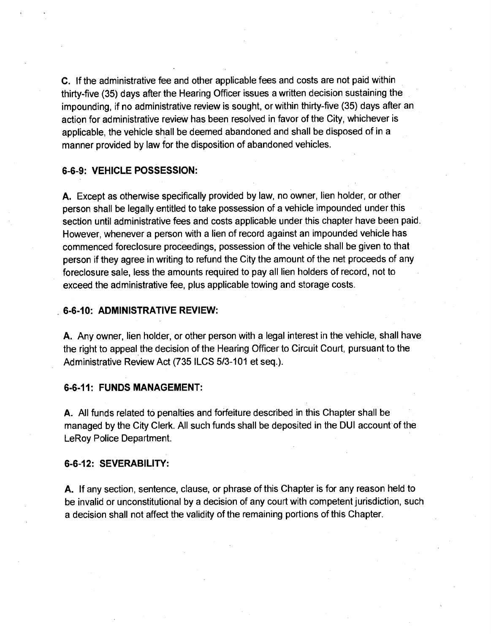C. If the administrative fee and other applicable fees and costs are not paid within thirty-five (35) days after the Hearing Officer issues a written decision sustaining the impounding, if no administrative review is sought, or within thirty-five (35) days after an action for administrative review has been resolved in favor of the City, whichever is applicable, the vehicle shall be deemed abandoned and shall be disposed of in a manner provided by law for the disposition of abandoned vehicles.

#### 6-6-9: VEHICLE POSSESSION:

A. Except as otherwise specifically provided by law, no owner, lien holder, or other person shall be legally entitled to take possession of a vehicle impounded under this section until administrative fees and costs applicable under this chapter have been paid. However, whenever a person with a lien of record against an impounded vehicle has commenced foreclosure proceedings, possession of the vehicle shall be given to that person if they agree in writing to refund the City the amount of the net proceeds of any foreclosure sale, less the amounts required to pay all lien holders of record, not to exceed the administrative fee, plus applicable towing and storage costs.

#### 6-6-10: ADMINISTRATIVE REVIEW:

A. Any owner, lien holder, or other person with a legal interest in the vehicle, shall have the right to appeal the decision of the Hearing Officer to Circuit Court, pursuant to the Administrative Review Act (735 ILCS 5/3-101 et seq.).

#### 6-6-11: FUNDS MANAGEMENT:

A. All funds related to penalties and forfeiture described in this Chapter shall be managed by the City Clerk. All such funds shall be deposited in the DUI account of the LeRoy Police Department.

#### 6-6-12: SEVERABILITY:

A. If any section, sentence, clause, or phrase of this Chapter is for any reason held to be invalid or unconstitutional by a decision of any court with competent jurisdiction, such a decision shall not affect the validity of the remaining portions of this Chapter.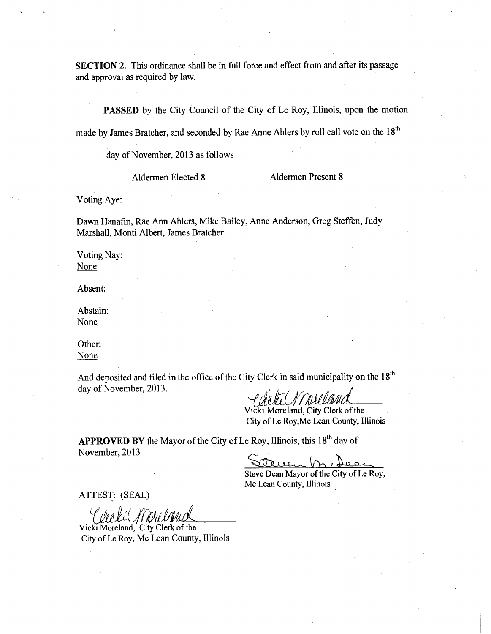SECTION 2. This ordinance shall be in full force and effect from and after its passage and approval as required by law.

PASSED by the City Council of the City of Le Roy, Illinois, upon the motion

made by James Bratcher, and seconded by Rae Anne Ahlers by roll call vote on the 18<sup>th</sup>

day of November, 2013 as follows

Aldermen Elected 8 Aldermen Present 8

Voting Aye:

Dawn Hanafin, Rae Ann Ahlers, Mike Bailey, Anne Anderson, Greg Steffen, Judy Marshall, Monti Albert, James Bratcher

Voting Nay: **None** 

Absent:

Abstain: None

Other: None

And deposited and filed in the office of the City Clerk in said municipality on the 18<sup>th</sup> day of November, 2013.

Vicki Moreland, City Clerk of the City of Le Roy,Mc Lean County, Illinois

APPROVED BY the Mayor of the City of Le Roy, Illinois, this 18<sup>th</sup> day of November, 2013

Steve Dean Mayor of the City of Le Roy, Mc Lean County, Illinois

ATTEST: (SEAL) I

Vicki Moreland, City Clerk of the City of Le Roy, Mc Lean County, Illinois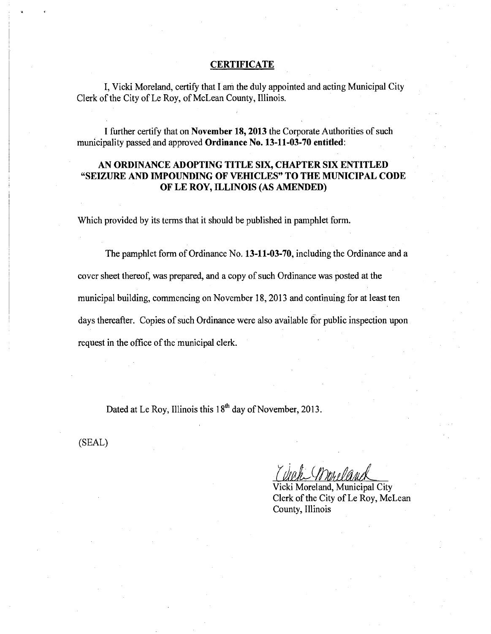#### **CERTIFICATE**

I, Vicki Moreland, certify that I am the duly appointed and acting Municipal City Clerk of the City of Le Roy, of McLean County, Illinois.

I further certify that on November 18, 2013 the Corporate Authorities of such municipality passed and approved Ordinance No. 13-11-03-70 entitled:

### AN ORDINANCE ADOPTING TITLE SIX, CHAPTER SIX ENTITLED "SEIZURE AND IMPOUNDING OF VEHICLES" TO THE MUNICIPAL CODE OF LE ROY, ILLINOIS (AS AMENDED)

Which provided by its terms that it should be published in pamphlet form.

The pamphlet form of Ordinance No. 13-11-03-70, including the Ordinance and a cover sheet thereof, was prepared, and a copy of such Ordinance was posted at the municipal building, commencing on November 18, 2013 and continuing for at least ten days thereafter. Copies of such Ordinance were also available for public inspection upon request in the office of the municipal clerk.

Dated at Le Roy, Illinois this 18<sup>th</sup> day of November, 2013.

(SEAL)

Vicki Moreland, Municipal City Clerk of the City of Le Roy, McLean County, Illinois